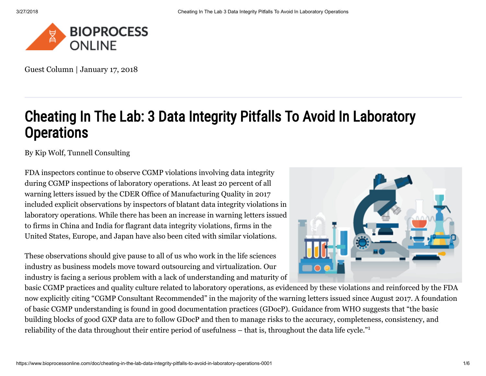

Guest Column | January 17, 2018

# Cheating In The Lab: 3 Data Integrity Pitfalls To Avoid In Laboratory **Operations**

By [Kip Wolf](https://www.bioprocessonline.com/author/kip-wolf), Tunnell Consulting

FDA inspectors continue to observe CGMP violations involving data integrity during CGMP inspections of laboratory operations. At least 20 percent of all warning letters issued by the CDER Office of Manufacturing Quality in 2017 included explicit observations by inspectors of blatant data integrity violations in laboratory operations. While there has been an increase in warning letters issued to firms in China and India for flagrant data integrity violations, firms in the United States, Europe, and Japan have also been cited with similar violations.

These observations should give pause to all of us who work in the life sciences industry as business models move toward outsourcing and virtualization. Our industry is facing a serious problem with a lack of understanding and maturity of



basic CGMP practices and quality culture related to laboratory operations, as evidenced by these violations and reinforced by the FDA now explicitly citing "CGMP Consultant Recommended" in the majority of the warning letters issued since August 2017. A foundation of basic CGMP understanding is found in good documentation practices (GDocP). Guidance from WHO suggests that "the basic building blocks of good GXP data are to follow GDocP and then to manage risks to the accuracy, completeness, consistency, and reliability of the data throughout their entire period of usefulness – that is, throughout the data life cycle."<sup>1</sup>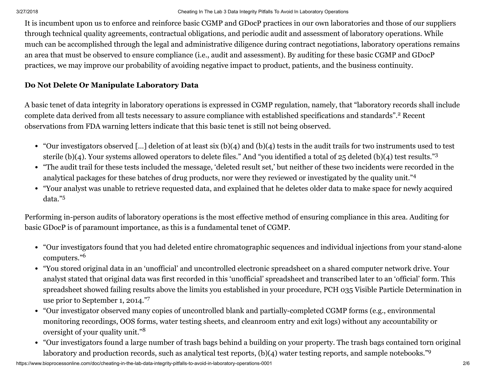It is incumbent upon us to enforce and reinforce basic CGMP and GDocP practices in our own laboratories and those of our suppliers through technical quality agreements, contractual obligations, and periodic audit and assessment of laboratory operations. While much can be accomplished through the legal and administrative diligence during contract negotiations, laboratory operations remains an area that must be observed to ensure compliance (i.e., audit and assessment). By auditing for these basic CGMP and GDocP practices, we may improve our probability of avoiding negative impact to product, patients, and the business continuity.

# Do Not Delete Or Manipulate Laboratory Data

A basic tenet of data integrity in laboratory operations is expressed in CGMP regulation, namely, that "laboratory records shall include complete data derived from all tests necessary to assure compliance with established specifications and standards".<sup>2</sup> Recent observations from FDA warning letters indicate that this basic tenet is still not being observed.

- "Our investigators observed […] deletion of at least six (b)(4) and (b)(4) tests in the audit trails for two instruments used to test sterile (b)(4). Your systems allowed operators to delete files." And "you identified a total of 25 deleted (b)(4) test results."<sup>3</sup>
- "The audit trail for these tests included the message, 'deleted result set,' but neither of these two incidents were recorded in the analytical packages for these batches of drug products, nor were they reviewed or investigated by the quality unit."<sup>4</sup>
- "Your analyst was unable to retrieve requested data, and explained that he deletes older data to make space for newly acquired data." 5

Performing in-person audits of laboratory operations is the most effective method of ensuring compliance in this area. Auditing for basic GDocP is of paramount importance, as this is a fundamental tenet of CGMP.

- "Our investigators found that you had deleted entire chromatographic sequences and individual injections from your stand-alone computers." 6
- "You stored original data in an 'unofficial' and uncontrolled electronic spreadsheet on a shared computer network drive. Your analyst stated that original data was first recorded in this 'unofficial' spreadsheet and transcribed later to an 'official' form. This spreadsheet showed failing results above the limits you established in your procedure, PCH 035 Visible Particle Determination in use prior to September 1, 2014." 7
- "Our investigator observed many copies of uncontrolled blank and partially-completed CGMP forms (e.g., environmental monitoring recordings, OOS forms, water testing sheets, and cleanroom entry and exit logs) without any accountability or oversight of your quality unit." 8
- "Our investigators found a large number of trash bags behind a building on your property. The trash bags contained torn original laboratory and production records, such as analytical test reports, (b)(4) water testing reports, and sample notebooks."<sup>9</sup>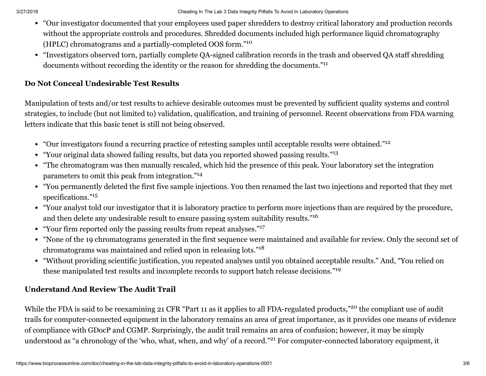- "Our investigator documented that your employees used paper shredders to destroy critical laboratory and production records without the appropriate controls and procedures. Shredded documents included high performance liquid chromatography (HPLC) chromatograms and a partially-completed OOS form." 10
- "Investigators observed torn, partially complete QA-signed calibration records in the trash and observed QA staff shredding documents without recording the identity or the reason for shredding the documents."<sup>11</sup>

### Do Not Conceal Undesirable Test Results

Manipulation of tests and/or test results to achieve desirable outcomes must be prevented by sufficient quality systems and control strategies, to include (but not limited to) validation, qualification, and training of personnel. Recent observations from FDA warning letters indicate that this basic tenet is still not being observed.

- "Our investigators found a recurring practice of retesting samples until acceptable results were obtained." 12
- "Your original data showed failing results, but data you reported showed passing results."<sup>13</sup>
- "The chromatogram was then manually rescaled, which hid the presence of this peak. Your laboratory set the integration parameters to omit this peak from integration."<sup>14</sup>
- "You permanently deleted the first five sample injections. You then renamed the last two injections and reported that they met specifications." 15
- "Your analyst told our investigator that it is laboratory practice to perform more injections than are required by the procedure, and then delete any undesirable result to ensure passing system suitability results."<sup>16</sup>
- "Your firm reported only the passing results from repeat analyses."<sup>17</sup>
- "None of the 19 chromatograms generated in the first sequence were maintained and available for review. Only the second set of chromatograms was maintained and relied upon in releasing lots."<sup>18</sup>
- "Without providing scientific justification, you repeated analyses until you obtained acceptable results." And, "You relied on these manipulated test results and incomplete records to support batch release decisions."<sup>19</sup>

# Understand And Review The Audit Trail

While the FDA is said to be reexamining 21 CFR "Part 11 as it applies to all FDA-regulated products,"<sup>20</sup> the compliant use of audit trails for computer-connected equipment in the laboratory remains an area of great importance, as it provides one means of evidence of compliance with GDocP and CGMP. Surprisingly, the audit trail remains an area of confusion; however, it may be simply understood as "a chronology of the 'who, what, when, and why' of a record."<sup>21</sup> For computer-connected laboratory equipment, it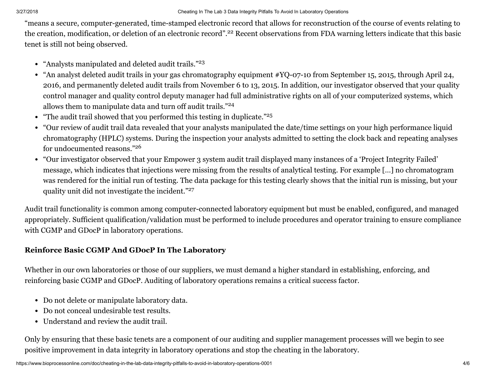"means a secure, computer-generated, time-stamped electronic record that allows for reconstruction of the course of events relating to the creation, modification, or deletion of an electronic record".<sup>22</sup> Recent observations from FDA warning letters indicate that this basic tenet is still not being observed.

- "Analysts manipulated and deleted audit trails." 23
- "An analyst deleted audit trails in your gas chromatography equipment #YQ-07-10 from September 15, 2015, through April 24, 2016, and permanently deleted audit trails from November 6 to 13, 2015. In addition, our investigator observed that your quality control manager and quality control deputy manager had full administrative rights on all of your computerized systems, which allows them to manipulate data and turn off audit trails."<sup>24</sup>
- "The audit trail showed that you performed this testing in duplicate."<sup>25</sup>
- "Our review of audit trail data revealed that your analysts manipulated the date/time settings on your high performance liquid chromatography (HPLC) systems. During the inspection your analysts admitted to setting the clock back and repeating analyses for undocumented reasons." 26
- "Our investigator observed that your Empower 3 system audit trail displayed many instances of a 'Project Integrity Failed' message, which indicates that injections were missing from the results of analytical testing. For example […] no chromatogram was rendered for the initial run of testing. The data package for this testing clearly shows that the initial run is missing, but your quality unit did not investigate the incident."<sup>27</sup>

Audit trail functionality is common among computer-connected laboratory equipment but must be enabled, configured, and managed appropriately. Sufficient qualification/validation must be performed to include procedures and operator training to ensure compliance with CGMP and GDocP in laboratory operations.

# Reinforce Basic CGMP And GDocP In The Laboratory

Whether in our own laboratories or those of our suppliers, we must demand a higher standard in establishing, enforcing, and reinforcing basic CGMP and GDocP. Auditing of laboratory operations remains a critical success factor.

- Do not delete or manipulate laboratory data.
- Do not conceal undesirable test results.
- Understand and review the audit trail.

Only by ensuring that these basic tenets are a component of our auditing and supplier management processes will we begin to see positive improvement in data integrity in laboratory operations and stop the cheating in the laboratory.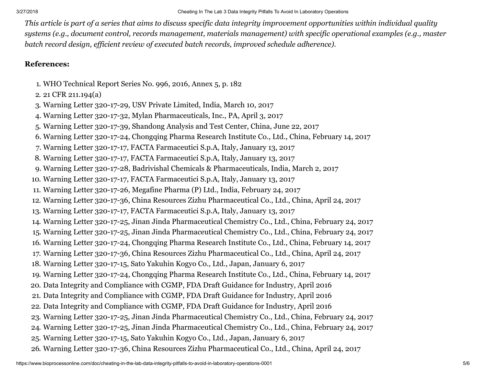*This article is part of a series that aims to discuss specific data integrity improvement opportunities within individual quality systems (e.g., document control, records management, materials management) with specific operational examples (e.g., master batch record design, efficient review of executed batch records, improved schedule adherence).*

#### References:

- 1. WHO Technical Report Series No. 996, 2016, Annex 5, p. 182
- 2. 21 CFR 211.194(a)
- 3. Warning Letter 320-17-29, USV Private Limited, India, March 10, 2017
- 4. Warning Letter 320-17-32, Mylan Pharmaceuticals, Inc., PA, April 3, 2017
- 5. Warning Letter 320-17-39, Shandong Analysis and Test Center, China, June 22, 2017
- 6. Warning Letter 320-17-24, Chongqing Pharma Research Institute Co., Ltd., China, February 14, 2017
- 7. Warning Letter 320-17-17, FACTA Farmaceutici S.p.A, Italy, January 13, 2017
- 8. Warning Letter 320-17-17, FACTA Farmaceutici S.p.A, Italy, January 13, 2017
- 9. Warning Letter 320-17-28, Badrivishal Chemicals & Pharmaceuticals, India, March 2, 2017
- 10. Warning Letter 320-17-17, FACTA Farmaceutici S.p.A, Italy, January 13, 2017
- 11. Warning Letter 320-17-26, Megafine Pharma (P) Ltd., India, February 24, 2017
- 12. Warning Letter 320-17-36, China Resources Zizhu Pharmaceutical Co., Ltd., China, April 24, 2017
- 13. Warning Letter 320-17-17, FACTA Farmaceutici S.p.A, Italy, January 13, 2017
- 14. Warning Letter 320-17-25, Jinan Jinda Pharmaceutical Chemistry Co., Ltd., China, February 24, 2017
- 15. Warning Letter 320-17-25, Jinan Jinda Pharmaceutical Chemistry Co., Ltd., China, February 24, 2017
- 16. Warning Letter 320-17-24, Chongqing Pharma Research Institute Co., Ltd., China, February 14, 2017
- 17. Warning Letter 320-17-36, China Resources Zizhu Pharmaceutical Co., Ltd., China, April 24, 2017
- 18. Warning Letter 320-17-15, Sato Yakuhin Kogyo Co., Ltd., Japan, January 6, 2017
- 19. Warning Letter 320-17-24, Chongqing Pharma Research Institute Co., Ltd., China, February 14, 2017
- 20. Data Integrity and Compliance with CGMP, FDA Draft Guidance for Industry, April 2016
- 21. Data Integrity and Compliance with CGMP, FDA Draft Guidance for Industry, April 2016
- 22. Data Integrity and Compliance with CGMP, FDA Draft Guidance for Industry, April 2016
- 23. Warning Letter 320-17-25, Jinan Jinda Pharmaceutical Chemistry Co., Ltd., China, February 24, 2017
- 24. Warning Letter 320-17-25, Jinan Jinda Pharmaceutical Chemistry Co., Ltd., China, February 24, 2017
- 25. Warning Letter 320-17-15, Sato Yakuhin Kogyo Co., Ltd., Japan, January 6, 2017
- 26. Warning Letter 320-17-36, China Resources Zizhu Pharmaceutical Co., Ltd., China, April 24, 2017